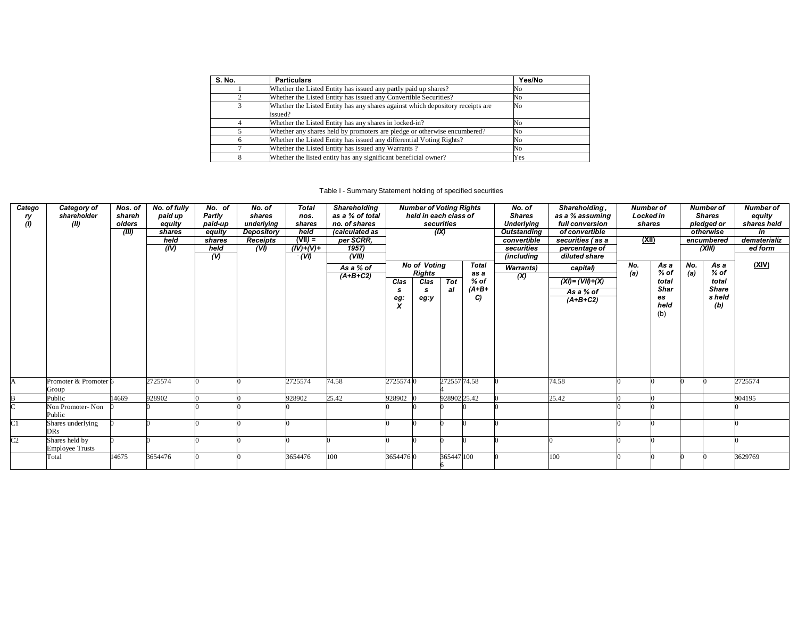| S. No. | <b>Particulars</b>                                                                        | Yes/No |
|--------|-------------------------------------------------------------------------------------------|--------|
|        | Whether the Listed Entity has issued any partly paid up shares?                           | No     |
|        | Whether the Listed Entity has issued any Convertible Securities?                          | No     |
|        | Whether the Listed Entity has any shares against which depository receipts are<br>issued? | No     |
|        | Whether the Listed Entity has any shares in locked-in?                                    | No     |
|        | Whether any shares held by promoters are pledge or otherwise encumbered?                  | No     |
|        | Whether the Listed Entity has issued any differential Voting Rights?                      | No     |
|        | Whether the Listed Entity has issued any Warrants?                                        | No     |
|        | Whether the listed entity has any significant beneficial owner?                           | Yes    |

Table I - Summary Statement holding of specified securities

| Catego                 | Category of            | Nos. of | No. of fully | No. of         | No. of          | <b>Total</b> | Shareholding    |                | <b>Number of Voting Rights</b> |              |              | No. of             | Shareholding,        | <b>Number of</b> |             |     | Number of     | <b>Number of</b> |
|------------------------|------------------------|---------|--------------|----------------|-----------------|--------------|-----------------|----------------|--------------------------------|--------------|--------------|--------------------|----------------------|------------------|-------------|-----|---------------|------------------|
| ry                     | shareholder            | shareh  | paid up      | Partly         | shares          | nos.         | as a % of total |                | held in each class of          |              |              | <b>Shares</b>      | as a % assuming      | <b>Locked in</b> |             |     | <b>Shares</b> | equity           |
| (1)                    | (II)                   | olders  | equity       | paid-up        | underlying      | shares       | no. of shares   |                |                                | securities   |              | <b>Underlying</b>  | full conversion      | shares           |             |     | pledged or    | shares held      |
|                        |                        | (III)   | shares       | equity         | Depository      | held         | (calculated as  |                |                                | (IX)         |              | <b>Outstanding</b> | of convertible       |                  |             |     | otherwise     | in               |
|                        |                        |         | held         | shares         | <b>Receipts</b> | $(VII) =$    | per SCRR.       |                |                                |              |              | convertible        | securities (as a     | (XII)            |             |     | encumbered    | dematerializ     |
|                        |                        |         | (IV)         | held           | (VI)            | $(IV)+(V)+$  | 1957)           |                |                                |              |              | securities         | percentage of        |                  |             |     | (XIII)        | ed form          |
|                        |                        |         |              | $\overline{v}$ |                 | $-(V)$       | (VIII)          |                |                                |              |              | (including         | diluted share        |                  |             |     |               |                  |
|                        |                        |         |              |                |                 |              | As a % of       |                | <b>No of Voting</b>            |              | <b>Total</b> | <b>Warrants</b> )  | capital)             | No.              | As a        | No. | As a          | (XIV)            |
|                        |                        |         |              |                |                 |              | $(A+B+C2)$      |                | <b>Rights</b>                  |              | as a         | (X)                |                      | (a)              | $%$ of      | (a) | % of          |                  |
|                        |                        |         |              |                |                 |              |                 | Clas           | Clas                           | <b>Tot</b>   | $%$ of       |                    | $(XI) = (VII) + (X)$ |                  | total       |     | total         |                  |
|                        |                        |         |              |                |                 |              |                 | -S             | s                              | al           | $(A+B+$      |                    | As a % of            |                  | <b>Shar</b> |     | <b>Share</b>  |                  |
|                        |                        |         |              |                |                 |              |                 | $\frac{eg}{x}$ | eg:y                           |              | C)           |                    | $(A+B+C2)$           |                  | es          |     | s held        |                  |
|                        |                        |         |              |                |                 |              |                 |                |                                |              |              |                    |                      |                  | held        |     | (b)           |                  |
|                        |                        |         |              |                |                 |              |                 |                |                                |              |              |                    |                      |                  | (b)         |     |               |                  |
|                        |                        |         |              |                |                 |              |                 |                |                                |              |              |                    |                      |                  |             |     |               |                  |
|                        |                        |         |              |                |                 |              |                 |                |                                |              |              |                    |                      |                  |             |     |               |                  |
|                        |                        |         |              |                |                 |              |                 |                |                                |              |              |                    |                      |                  |             |     |               |                  |
|                        |                        |         |              |                |                 |              |                 |                |                                |              |              |                    |                      |                  |             |     |               |                  |
|                        |                        |         |              |                |                 |              |                 |                |                                |              |              |                    |                      |                  |             |     |               |                  |
|                        |                        |         |              |                |                 |              |                 |                |                                |              |              |                    |                      |                  |             |     |               |                  |
|                        |                        |         |              |                |                 |              |                 |                |                                |              |              |                    |                      |                  |             |     |               |                  |
| IA.                    | Promoter & Promoter 6  |         | 2725574      |                |                 | 2725574      | 74.58           | 2725574 0      |                                | 272557 74.58 |              |                    | 74.58                |                  |             |     |               | 2725574          |
|                        | Group                  |         |              |                |                 |              |                 |                |                                |              |              |                    |                      |                  |             |     |               |                  |
|                        | Public                 | 14669   | 928902       |                |                 | 928902       | 25.42           | 928902         |                                | 92890225.42  |              |                    | 25.42                |                  |             |     |               | 904195           |
|                        | Non Promoter-Non       |         |              |                |                 |              |                 |                |                                |              |              |                    |                      |                  |             |     |               |                  |
|                        | Public                 |         |              |                |                 |              |                 |                |                                |              |              |                    |                      |                  |             |     |               |                  |
| $\overline{\rm C1}$    | Shares underlying      |         |              |                |                 |              |                 |                |                                |              |              |                    |                      |                  |             |     |               |                  |
|                        | <b>DRs</b>             |         |              |                |                 |              |                 |                |                                |              |              |                    |                      |                  |             |     |               |                  |
| $\overline{\text{C2}}$ | Shares held by         |         |              |                |                 |              |                 |                |                                |              |              |                    |                      |                  |             |     |               |                  |
|                        | <b>Employee Trusts</b> |         |              |                |                 |              |                 |                |                                |              |              |                    |                      |                  |             |     |               |                  |
|                        | Total                  | 14675   | 3654476      |                |                 | 3654476      | 100             | 3654476 0      |                                | 365447100    |              |                    | 100                  |                  |             |     |               | 3629769          |
|                        |                        |         |              |                |                 |              |                 |                |                                |              |              |                    |                      |                  |             |     |               |                  |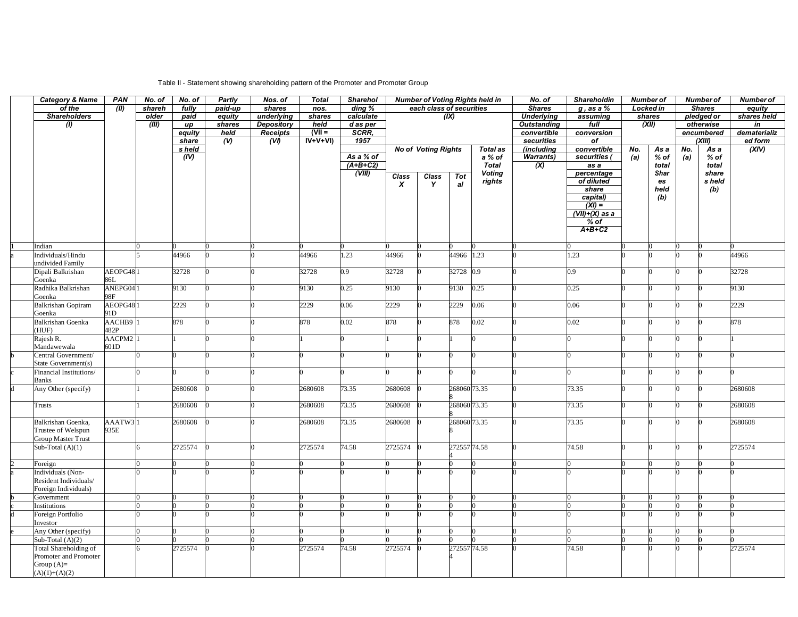## Table II - Statement showing shareholding pattern of the Promoter and Promoter Group

| <b>Category &amp; Name</b>                                                        | <b>PAN</b>                  | No. of | No. of          | Partly         | Nos. of                 | <b>Total</b>     | <b>Sharehol</b>     | <b>Number of Voting Rights held in</b> |                            |              | No. of            | Shareholdin               | <b>Number of</b>            |        | <b>Number of</b>     |               | Number of               |         |
|-----------------------------------------------------------------------------------|-----------------------------|--------|-----------------|----------------|-------------------------|------------------|---------------------|----------------------------------------|----------------------------|--------------|-------------------|---------------------------|-----------------------------|--------|----------------------|---------------|-------------------------|---------|
| of the                                                                            | (11)                        | shareh | fully           | paid-up        | shares                  | nos.             | $\overline{diag\%}$ | each class of securities               |                            |              | <b>Shares</b>     | $g$ , as a $%$            | <b>Locked in</b>            |        |                      | <b>Shares</b> | equity                  |         |
| <b>Shareholders</b>                                                               |                             | older  | paid            | equity         | underlying              | shares           |                     | calculate<br>(X)                       |                            |              | <b>Underlying</b> | assuming                  |                             | shares |                      | pledged or    | shares held             |         |
| $\omega$                                                                          |                             | (III)  | up              | shares         | <b>Depository</b>       | held<br>$(VII =$ | d as per<br>SCRR,   |                                        |                            |              |                   | <b>Outstanding</b>        | full<br>(XII)<br>conversion |        |                      | otherwise     |                         | in      |
|                                                                                   |                             |        | equity<br>share | held<br>$($ V) | <b>Receipts</b><br>(VI) | $IV+V+VI)$       | 1957                |                                        |                            |              |                   | convertible<br>securities | of                          |        | encumbered<br>(XIII) |               | dematerializ<br>ed form |         |
|                                                                                   |                             |        | s held          |                |                         |                  |                     |                                        | <b>No of Voting Rights</b> |              | Total as          | (including                | convertible                 | No.    | As a                 | No.           | As a                    | (XIV)   |
|                                                                                   |                             |        | (IV)            |                |                         |                  | As a % of           |                                        |                            |              | a % of            | <b>Warrants</b> )         | securities (                | (a)    | % of                 | (a)           | $%$ of                  |         |
|                                                                                   |                             |        |                 |                |                         |                  | $(A+B+C2)$          |                                        |                            |              | <b>Total</b>      | (X)                       | as a                        |        | total                |               | total                   |         |
|                                                                                   |                             |        |                 |                |                         |                  | (VIII)              | <b>Class</b>                           | Class                      | Tot          | <b>Voting</b>     |                           | percentage<br>of diluted    |        | <b>Shar</b>          |               | share                   |         |
|                                                                                   |                             |        |                 |                |                         |                  |                     | $\boldsymbol{x}$                       | Y                          | al           | rights            |                           | share                       |        | es<br>held           |               | s held<br>(b)           |         |
|                                                                                   |                             |        |                 |                |                         |                  |                     |                                        |                            |              |                   |                           | capital)                    |        | (b)                  |               |                         |         |
|                                                                                   |                             |        |                 |                |                         |                  |                     |                                        |                            |              |                   |                           | $\overline{(XI)}$           |        |                      |               |                         |         |
|                                                                                   |                             |        |                 |                |                         |                  |                     |                                        |                            |              |                   |                           | $(VII)+(X)$ as a            |        |                      |               |                         |         |
|                                                                                   |                             |        |                 |                |                         |                  |                     |                                        |                            |              |                   |                           | $%$ of                      |        |                      |               |                         |         |
|                                                                                   |                             |        |                 |                |                         |                  |                     |                                        |                            |              |                   |                           | $A+B+C2$                    |        |                      |               |                         |         |
| Indian                                                                            |                             |        |                 |                |                         |                  |                     |                                        |                            |              |                   |                           |                             |        |                      |               |                         |         |
| Individuals/Hindu                                                                 |                             |        | 44966           |                |                         | 44966            | 1.23                | 44966                                  |                            | 44966 1.23   |                   |                           | 1.23                        |        |                      |               |                         | 44966   |
| undivided Family                                                                  |                             |        |                 |                |                         |                  |                     |                                        |                            |              |                   |                           |                             |        |                      |               |                         |         |
| Dipali Balkrishan<br>Goenka                                                       | AEOPG481<br>86L             |        | 32728           |                |                         | 32728            | 0.9                 | 32728                                  |                            | 32728 0.9    |                   |                           | 0.9                         |        |                      |               |                         | 32728   |
| Radhika Balkrishan<br>Goenka                                                      | ANEPG041<br>98F             |        | 9130            |                |                         | 9130             | 0.25                | 9130                                   |                            | 9130         | 0.25              |                           | 0.25                        |        |                      |               |                         | 9130    |
| <b>Balkrishan Gopiram</b>                                                         | AEOPG481                    |        | 2229            |                |                         | 2229             | 0.06                | 2229                                   |                            | 2229         | 0.06              |                           | 0.06                        |        |                      |               |                         | 2229    |
| Goenka                                                                            | 91D                         |        |                 |                |                         |                  |                     |                                        |                            |              |                   |                           |                             |        |                      |               |                         |         |
| <b>Balkrishan Goenka</b><br>(HUF)                                                 | AACHB9<br>482P              |        | 878             |                |                         | 878              | 0.02                | 878                                    |                            | 878          | 0.02              |                           | 0.02                        |        |                      |               |                         | 878     |
| Rajesh R.<br>Mandawewala                                                          | AACPM2 <sup>1</sup><br>601D |        |                 |                |                         |                  | 0                   |                                        |                            |              |                   |                           |                             |        |                      |               |                         |         |
| Central Government/<br>State Government(s)                                        |                             |        |                 |                |                         |                  |                     |                                        |                            |              |                   |                           |                             |        |                      |               |                         |         |
| Financial Institutions/<br><b>Banks</b>                                           |                             |        |                 |                |                         |                  |                     |                                        |                            |              |                   |                           |                             |        |                      |               |                         |         |
| Any Other (specify)                                                               |                             |        | 2680608         |                |                         | 2680608          | 73.35               | 2680608                                |                            | 268060 73.35 |                   |                           | 73.35                       |        |                      |               |                         | 2680608 |
| Trusts                                                                            |                             |        | 2680608         |                |                         | 2680608          | 73.35               | 2680608                                |                            | 268060 73.35 |                   |                           | 73.35                       |        |                      |               |                         | 2680608 |
| Balkrishan Goenka,                                                                | AAATW3 <sup>1</sup>         |        | 2680608         |                |                         | 2680608          | 73.35               | 2680608                                |                            | 268060 73.35 |                   |                           | 73.35                       |        |                      |               |                         | 2680608 |
| Trustee of Welspun                                                                | 935E                        |        |                 |                |                         |                  |                     |                                        |                            |              |                   |                           |                             |        |                      |               |                         |         |
| <b>Group Master Trust</b><br>Sub-Total $(A)(1)$                                   |                             |        | 2725574         |                |                         | 2725574          | 74.58               | 2725574                                |                            | 272557 74.58 |                   |                           | 74.58                       |        |                      |               |                         | 2725574 |
|                                                                                   |                             |        |                 |                |                         |                  |                     |                                        |                            |              |                   |                           |                             |        |                      |               |                         |         |
| Foreign                                                                           |                             |        |                 |                |                         |                  |                     |                                        |                            |              |                   |                           |                             |        |                      |               |                         |         |
| Individuals (Non-                                                                 |                             |        |                 |                |                         |                  |                     |                                        |                            |              |                   |                           |                             |        |                      |               |                         |         |
| Resident Individuals/                                                             |                             |        |                 |                |                         |                  |                     |                                        |                            |              |                   |                           |                             |        |                      |               |                         |         |
| Foreign Individuals)                                                              |                             |        |                 |                |                         |                  |                     |                                        |                            |              |                   |                           |                             |        |                      |               |                         |         |
| Government                                                                        |                             |        |                 |                |                         |                  |                     |                                        |                            |              |                   |                           |                             |        |                      |               |                         |         |
| Institutions<br>Foreign Portfolio                                                 |                             |        |                 |                |                         |                  |                     |                                        |                            |              |                   |                           |                             |        |                      |               |                         |         |
| Investor                                                                          |                             |        |                 |                |                         |                  |                     |                                        |                            |              |                   |                           |                             |        |                      |               |                         |         |
| Any Other (specify)                                                               |                             |        |                 |                |                         |                  |                     |                                        |                            |              |                   |                           |                             |        |                      |               |                         |         |
| Sub-Total $(A)(2)$                                                                |                             |        |                 |                |                         |                  |                     |                                        |                            |              |                   |                           |                             |        |                      |               |                         |         |
| Total Shareholding of<br>Promoter and Promoter<br>Group $(A)=$<br>$(A)(1)+(A)(2)$ |                             |        | 2725574         |                |                         | 2725574          | 74.58               | 2725574                                |                            | 272557 74.58 |                   |                           | 74.58                       |        |                      |               |                         | 2725574 |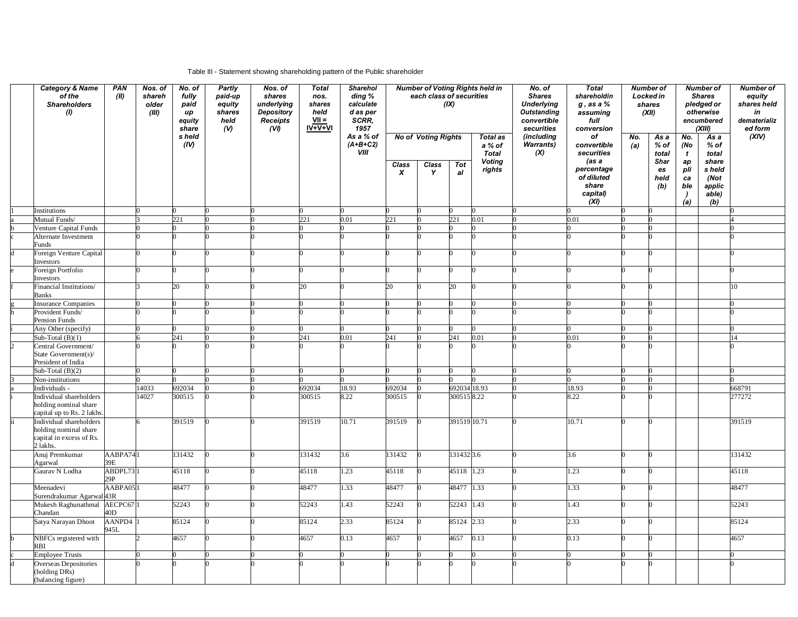## Table III - Statement showing shareholding pattern of the Public shareholder

| <b>Category &amp; Name</b><br>of the<br><b>Shareholders</b><br>(1) | <b>PAN</b><br>(II) | Nos. of<br>shareh<br>older<br>(III) | No. of<br>fully<br>paid<br>иp<br>equity<br>share | Partly<br>paid-up<br>equity<br>shares<br>held<br>(V) | Nos. of<br>shares<br>underlying<br>Depository<br>Receipts<br>(VI) | <b>Total</b><br>nos.<br>shares<br>held<br>$VII =$<br>IV+V+VI | Sharehol<br>ding %<br>calculate<br>d as per<br>SCRR,<br>1957 | <b>Number of Voting Rights held in</b><br>each class of securities<br>(IX) |                            | No. of<br><b>Total</b><br><b>Shares</b><br>shareholdin<br><b>Underlying</b><br>$g$ , as a $%$<br><b>Outstanding</b><br>assuming<br>convertible<br>full<br>securities<br>conversion |                                                     | <b>Number of</b><br>Locked in<br>shares<br>(XII) |                                                       | <b>Number of</b><br><b>Shares</b><br>pledged or<br>otherwise<br>encumbered<br>(XIII) |                                        | <b>Number of</b><br>equity<br>shares held<br>in<br>dematerializ<br>ed form |                                          |        |
|--------------------------------------------------------------------|--------------------|-------------------------------------|--------------------------------------------------|------------------------------------------------------|-------------------------------------------------------------------|--------------------------------------------------------------|--------------------------------------------------------------|----------------------------------------------------------------------------|----------------------------|------------------------------------------------------------------------------------------------------------------------------------------------------------------------------------|-----------------------------------------------------|--------------------------------------------------|-------------------------------------------------------|--------------------------------------------------------------------------------------|----------------------------------------|----------------------------------------------------------------------------|------------------------------------------|--------|
|                                                                    |                    |                                     | s held<br>(IV)                                   |                                                      |                                                                   |                                                              | As a % of<br>$(A+B+C2)$<br><b>VIII</b>                       |                                                                            | <b>No of Voting Rights</b> |                                                                                                                                                                                    | Total as<br>a % of<br><b>Total</b><br><b>Voting</b> | (including<br>Warrants)<br>(X)                   | of<br>convertible<br>securities<br>(as a              | No.<br>(a)                                                                           | As a<br>$%$ of<br>total<br><b>Shar</b> | No.<br>(No<br>$\mathbf{t}$<br>ap                                           | As a<br>$%$ of<br>total<br>share         | (XIV)  |
|                                                                    |                    |                                     |                                                  |                                                      |                                                                   |                                                              |                                                              | Class<br>$\boldsymbol{x}$                                                  | Class<br>Y                 | <b>Tot</b><br>al                                                                                                                                                                   | rights                                              |                                                  | percentage<br>of diluted<br>share<br>capital)<br>(XI) |                                                                                      | es<br>held<br>(b)                      | pli<br>ca<br>ble<br>$\overline{ }$<br>(a)                                  | s held<br>(Not<br>applic<br>able)<br>(b) |        |
| Institutions                                                       |                    |                                     |                                                  |                                                      |                                                                   |                                                              |                                                              |                                                                            |                            |                                                                                                                                                                                    |                                                     |                                                  |                                                       |                                                                                      |                                        |                                                                            |                                          |        |
| Mutual Funds/                                                      |                    |                                     | 221                                              |                                                      |                                                                   | 221                                                          | 0.01                                                         | 221                                                                        |                            | 221                                                                                                                                                                                | 0.01                                                |                                                  | 0.01                                                  |                                                                                      |                                        |                                                                            |                                          |        |
| Venture Capital Funds                                              |                    |                                     |                                                  |                                                      |                                                                   |                                                              |                                                              |                                                                            |                            |                                                                                                                                                                                    |                                                     |                                                  |                                                       |                                                                                      |                                        |                                                                            |                                          |        |
| Alternate Investment<br>Funds                                      |                    |                                     |                                                  |                                                      |                                                                   |                                                              |                                                              |                                                                            |                            |                                                                                                                                                                                    |                                                     |                                                  |                                                       |                                                                                      |                                        |                                                                            |                                          |        |
| Foreign Venture Capital<br>nvestors                                |                    |                                     |                                                  |                                                      |                                                                   |                                                              |                                                              |                                                                            |                            |                                                                                                                                                                                    |                                                     |                                                  |                                                       |                                                                                      |                                        |                                                                            |                                          |        |
| Foreign Portfolio<br>Investors                                     |                    |                                     |                                                  |                                                      |                                                                   |                                                              |                                                              |                                                                            |                            |                                                                                                                                                                                    |                                                     |                                                  |                                                       |                                                                                      |                                        |                                                                            |                                          |        |
| inancial Institutions/<br><b>Banks</b>                             |                    |                                     | 20                                               |                                                      |                                                                   | 20                                                           |                                                              | 20                                                                         |                            | 20                                                                                                                                                                                 |                                                     |                                                  |                                                       |                                                                                      |                                        |                                                                            |                                          | 10     |
| <b>Insurance Companies</b>                                         |                    |                                     |                                                  |                                                      |                                                                   |                                                              |                                                              |                                                                            |                            |                                                                                                                                                                                    |                                                     |                                                  |                                                       |                                                                                      |                                        |                                                                            |                                          |        |
| Provident Funds/                                                   |                    |                                     |                                                  |                                                      |                                                                   |                                                              |                                                              |                                                                            |                            |                                                                                                                                                                                    |                                                     |                                                  |                                                       |                                                                                      |                                        |                                                                            |                                          |        |
| Pension Funds                                                      |                    |                                     |                                                  |                                                      |                                                                   |                                                              |                                                              |                                                                            |                            |                                                                                                                                                                                    |                                                     |                                                  |                                                       |                                                                                      |                                        |                                                                            |                                          |        |
| Any Other (specify)                                                |                    |                                     |                                                  |                                                      |                                                                   |                                                              |                                                              |                                                                            |                            |                                                                                                                                                                                    |                                                     |                                                  |                                                       |                                                                                      |                                        |                                                                            |                                          |        |
| Sub-Total $(B)(1)$                                                 |                    |                                     | 241                                              |                                                      |                                                                   | 241                                                          | 0.01                                                         | 241                                                                        |                            | 241                                                                                                                                                                                | 0.01                                                |                                                  | 0.01                                                  |                                                                                      |                                        |                                                                            |                                          | 14     |
| Central Government/<br>State Government(s)/                        |                    |                                     |                                                  |                                                      |                                                                   |                                                              |                                                              |                                                                            |                            |                                                                                                                                                                                    |                                                     |                                                  |                                                       |                                                                                      |                                        |                                                                            |                                          |        |
| President of India<br>Sub-Total $(B)(2)$                           |                    |                                     |                                                  |                                                      |                                                                   |                                                              |                                                              |                                                                            |                            |                                                                                                                                                                                    |                                                     |                                                  |                                                       |                                                                                      |                                        |                                                                            |                                          |        |
| Non-institutions                                                   |                    |                                     |                                                  |                                                      |                                                                   |                                                              |                                                              |                                                                            |                            |                                                                                                                                                                                    |                                                     |                                                  |                                                       |                                                                                      |                                        |                                                                            |                                          |        |
| Individuals -                                                      |                    | 14033                               | 692034                                           |                                                      |                                                                   | 692034                                                       | 18.93                                                        | 692034                                                                     |                            | 692034 18.93                                                                                                                                                                       |                                                     |                                                  | 18.93                                                 |                                                                                      |                                        |                                                                            |                                          | 668791 |
| Individual shareholders                                            |                    | 14027                               | 300515                                           |                                                      |                                                                   | 300515                                                       | 8.22                                                         | 300515                                                                     |                            | 3005158.22                                                                                                                                                                         |                                                     |                                                  | 8.22                                                  |                                                                                      |                                        |                                                                            |                                          | 277272 |
| holding nominal share<br>apital up to Rs. 2 lakhs                  |                    |                                     |                                                  |                                                      |                                                                   |                                                              |                                                              |                                                                            |                            |                                                                                                                                                                                    |                                                     |                                                  |                                                       |                                                                                      |                                        |                                                                            |                                          |        |
| Individual shareholders<br>holding nominal share                   |                    |                                     | 391519                                           |                                                      |                                                                   | 391519                                                       | 10.71                                                        | 391519                                                                     |                            | 391519 10.71                                                                                                                                                                       |                                                     |                                                  | 10.71                                                 |                                                                                      |                                        |                                                                            |                                          | 391519 |
| capital in excess of Rs.<br>2 lakhs.                               |                    |                                     |                                                  |                                                      |                                                                   |                                                              |                                                              |                                                                            |                            |                                                                                                                                                                                    |                                                     |                                                  |                                                       |                                                                                      |                                        |                                                                            |                                          |        |
| Anuj Premkumar<br>Agarwal                                          | AABPA74<br>39E     |                                     | 131432                                           |                                                      |                                                                   | 131432                                                       | 3.6                                                          | 131432                                                                     |                            | 131432 3.6                                                                                                                                                                         |                                                     |                                                  | 3.6                                                   |                                                                                      |                                        |                                                                            |                                          | 131432 |
| Gaurav N Lodha                                                     | ABDPL73<br>29P     |                                     | 45118                                            |                                                      |                                                                   | 45118                                                        | 1.23                                                         | 45118                                                                      |                            | 45118 1.23                                                                                                                                                                         |                                                     |                                                  | 1.23                                                  |                                                                                      |                                        |                                                                            |                                          | 45118  |
| Meenadevi<br>Surendrakumar Agarwal 43R                             | AABPA05            |                                     | 48477                                            |                                                      |                                                                   | 48477                                                        | 1.33                                                         | 48477                                                                      |                            | 48477 1.33                                                                                                                                                                         |                                                     |                                                  | 1.33                                                  |                                                                                      |                                        |                                                                            |                                          | 48477  |
| Mukesh Raghunathmal AECPC67<br>Chandan                             | 40D                |                                     | 52243                                            |                                                      |                                                                   | 52243                                                        | 1.43                                                         | 52243                                                                      |                            | 52243 1.43                                                                                                                                                                         |                                                     |                                                  | 1.43                                                  |                                                                                      |                                        |                                                                            |                                          | 52243  |
| Satya Narayan Dhoot                                                | AANPD4<br>945L     |                                     | 85124                                            |                                                      |                                                                   | 85124                                                        | 2.33                                                         | 85124                                                                      |                            | 85124 2.33                                                                                                                                                                         |                                                     |                                                  | 2.33                                                  |                                                                                      |                                        |                                                                            |                                          | 85124  |
| NBFCs registered with<br>RBI                                       |                    |                                     | 4657                                             |                                                      |                                                                   | 4657                                                         | 0.13                                                         | 4657                                                                       |                            | 4657                                                                                                                                                                               | 0.13                                                |                                                  | 0.13                                                  |                                                                                      |                                        |                                                                            |                                          | 4657   |
| <b>Employee Trusts</b>                                             |                    |                                     |                                                  |                                                      |                                                                   |                                                              |                                                              |                                                                            |                            |                                                                                                                                                                                    |                                                     |                                                  |                                                       |                                                                                      |                                        |                                                                            |                                          |        |
| Overseas Depositories                                              |                    |                                     |                                                  |                                                      |                                                                   |                                                              |                                                              |                                                                            |                            |                                                                                                                                                                                    |                                                     |                                                  |                                                       |                                                                                      |                                        |                                                                            |                                          |        |
| (holding DRs)<br>(balancing figure)                                |                    |                                     |                                                  |                                                      |                                                                   |                                                              |                                                              |                                                                            |                            |                                                                                                                                                                                    |                                                     |                                                  |                                                       |                                                                                      |                                        |                                                                            |                                          |        |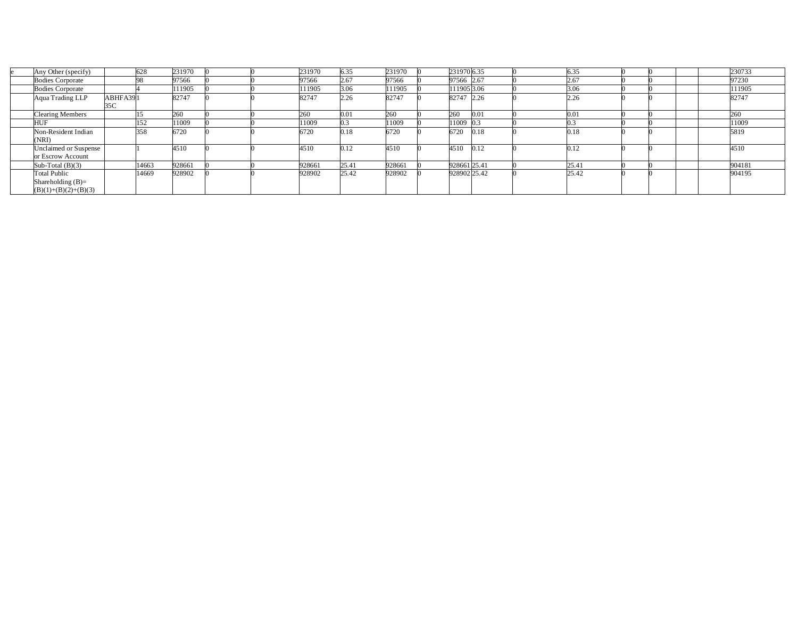| Any Other (specify)     |          | 628   | 231970 |  | 231970 | 6.35  | 231970 | 231970 6.35  |      | 6.35      |  |  | 230733 |
|-------------------------|----------|-------|--------|--|--------|-------|--------|--------------|------|-----------|--|--|--------|
| <b>Bodies Corporate</b> |          | הל    | 97566  |  | 97566  | 2.67  | 97566  | 97566 2.67   |      | 2.67      |  |  | 97230  |
| <b>Bodies Corporate</b> |          |       | 11905  |  | 111905 | 3.06  | 11905  | 111905 3.06  |      | 3.06      |  |  | 111905 |
| Aqua Trading LLP        | ABHFA391 |       | 82747  |  | 82747  | 2.26  | 82747  | 82747 2.26   |      | 2.26      |  |  | 82747  |
|                         | 35C      |       |        |  |        |       |        |              |      |           |  |  |        |
| <b>Clearing Members</b> |          |       | 260    |  | 260    | 0.01  | 260    | 260          | 0.01 | $_{0.01}$ |  |  | 260    |
| <b>HUF</b>              |          | 152   | 11009  |  | 11009  |       | 1009   | 11009 0.3    |      |           |  |  | 11009  |
| Non-Resident Indian     |          | 358   | 6720   |  | 6720   | 0.18  | 6720   | 6720         | 0.18 | 0.18      |  |  | 5819   |
| (NRI)                   |          |       |        |  |        |       |        |              |      |           |  |  |        |
| Unclaimed or Suspense   |          |       | 4510   |  | 4510   | 0.12  | 4510   | 4510         | 0.12 | 0.12      |  |  | 4510   |
| or Escrow Account       |          |       |        |  |        |       |        |              |      |           |  |  |        |
| Sub-Total $(B)(3)$      |          | 14663 | 928661 |  | 928661 | 25.4  | 928661 | 928661 25.41 |      | 25.41     |  |  | 904181 |
| <b>Total Public</b>     |          | 14669 | 928902 |  | 928902 | 25.42 | 928902 | 928902 25.42 |      | 25.42     |  |  | 904195 |
| Shareholding $(B)=$     |          |       |        |  |        |       |        |              |      |           |  |  |        |
| $(B)(1)+(B)(2)+(B)(3)$  |          |       |        |  |        |       |        |              |      |           |  |  |        |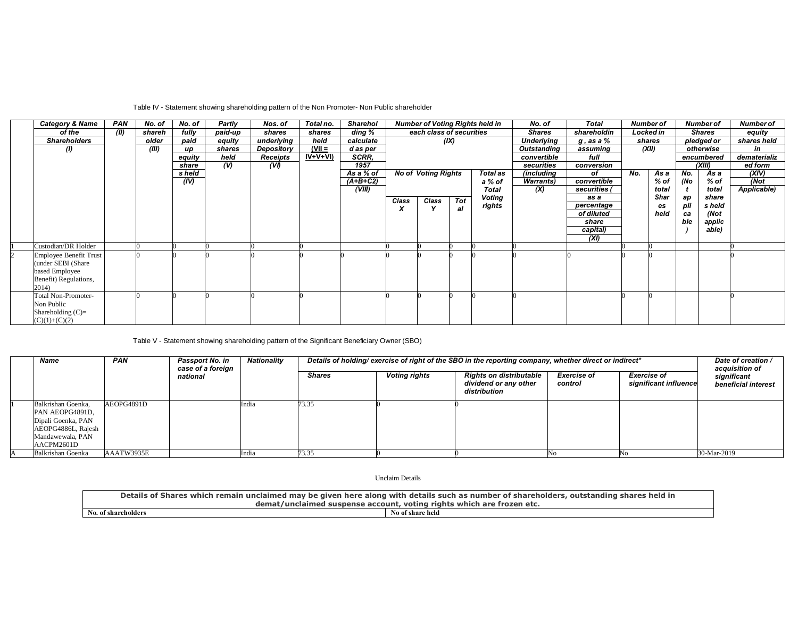## Table IV - Statement showing shareholding pattern of the Non Promoter- Non Public shareholder

| <b>Category &amp; Name</b>    | PAN  | No. of | No. of | Partly  | Nos. of    | Total no.  | <b>Sharehol</b> |       |                            |            | <b>Number of Voting Rights held in</b> | No. of            | <b>Total</b>    | <b>Number of</b> |        |     | <b>Number of</b> | <b>Number of</b> |
|-------------------------------|------|--------|--------|---------|------------|------------|-----------------|-------|----------------------------|------------|----------------------------------------|-------------------|-----------------|------------------|--------|-----|------------------|------------------|
| of the                        | (II) | shareh | fully  | paid-up | shares     | shares     | ding %          |       | each class of securities   |            |                                        | <b>Shares</b>     | shareholdin     | Locked in        |        |     | <b>Shares</b>    | equity           |
| <b>Shareholders</b>           |      | older  | paid   | equity  | underlying | held       | calculate       |       |                            | (IX)       |                                        | <b>Underlying</b> | $g$ , as a $\%$ |                  | shares |     | pledged or       | shares held      |
| $\omega$                      |      | (III)  | up     | shares  | Depository | $(VII =$   | d as per        |       |                            |            |                                        | Outstanding       | assuming        | (XII)            |        |     | otherwise        | in               |
|                               |      |        | equity | held    | Receipts   | $IV+V+VI)$ | SCRR.           |       |                            |            |                                        | convertible       | full            |                  |        |     | encumbered       | dematerializ     |
|                               |      |        | share  | $($ V)  | (VI)       |            | 1957            |       |                            |            |                                        | securities        | conversion      |                  |        |     | (XIII)           | ed form          |
|                               |      |        | s held |         |            |            | As a % of       |       | <b>No of Voting Rights</b> |            | Total as                               | <i>(including</i> | οf              | No.              | As a   | No. | As a             | (XIV)            |
|                               |      |        | (IV)   |         |            |            | $(A+B+C2)$      |       |                            |            | a % of                                 | <b>Warrants</b> ) | convertible     |                  | % of   | (No | % of             | (Not             |
|                               |      |        |        |         |            |            | (VIII)          |       |                            |            | <b>Total</b>                           | (X)               | securities      |                  | total  |     | total            | Applicable)      |
|                               |      |        |        |         |            |            |                 | Class | Class                      | <b>Tot</b> | Voting                                 |                   | as a            |                  | Shar   | aр  | share            |                  |
|                               |      |        |        |         |            |            |                 | X     |                            | al         | rights                                 |                   | percentage      |                  | es     | pli | s held           |                  |
|                               |      |        |        |         |            |            |                 |       |                            |            |                                        |                   | of diluted      |                  | held   | ca  | (Not             |                  |
|                               |      |        |        |         |            |            |                 |       |                            |            |                                        |                   | share           |                  |        | ble | applic           |                  |
|                               |      |        |        |         |            |            |                 |       |                            |            |                                        |                   | capital)        |                  |        |     | able)            |                  |
|                               |      |        |        |         |            |            |                 |       |                            |            |                                        |                   | (XI)            |                  |        |     |                  |                  |
| Custodian/DR Holder           |      |        |        |         |            |            |                 |       |                            |            |                                        |                   |                 |                  |        |     |                  |                  |
| <b>Employee Benefit Trust</b> |      |        |        |         |            |            |                 |       |                            |            |                                        |                   |                 |                  |        |     |                  |                  |
| (under SEBI (Share)           |      |        |        |         |            |            |                 |       |                            |            |                                        |                   |                 |                  |        |     |                  |                  |
| based Employee                |      |        |        |         |            |            |                 |       |                            |            |                                        |                   |                 |                  |        |     |                  |                  |
| Benefit) Regulations,         |      |        |        |         |            |            |                 |       |                            |            |                                        |                   |                 |                  |        |     |                  |                  |
| 2014)                         |      |        |        |         |            |            |                 |       |                            |            |                                        |                   |                 |                  |        |     |                  |                  |
| <b>Total Non-Promoter-</b>    |      |        |        |         |            |            |                 |       |                            |            |                                        |                   |                 |                  |        |     |                  |                  |
| Non Public                    |      |        |        |         |            |            |                 |       |                            |            |                                        |                   |                 |                  |        |     |                  |                  |
| Shareholding $(C)$ =          |      |        |        |         |            |            |                 |       |                            |            |                                        |                   |                 |                  |        |     |                  |                  |
| $(C)(1)+(C)(2)$               |      |        |        |         |            |            |                 |       |                            |            |                                        |                   |                 |                  |        |     |                  |                  |

Table V - Statement showing shareholding pattern of the Significant Beneficiary Owner (SBO)

| Name                                                                                                                | <b>PAN</b> | Passport No. in<br>case of a foreign | Nationality | Details of holding/ exercise of right of the SBO in the reporting company, whether direct or indirect* |                      |                                                                         |                               |                                             |                                                      |  |
|---------------------------------------------------------------------------------------------------------------------|------------|--------------------------------------|-------------|--------------------------------------------------------------------------------------------------------|----------------------|-------------------------------------------------------------------------|-------------------------------|---------------------------------------------|------------------------------------------------------|--|
|                                                                                                                     |            | national                             |             | <b>Shares</b>                                                                                          | <b>Voting rights</b> | <b>Rights on distributable</b><br>dividend or any other<br>distribution | <b>Exercise of</b><br>control | <b>Exercise of</b><br>significant influence | acquisition of<br>significant<br>beneficial interest |  |
| Balkrishan Goenka.<br>PAN AEOPG4891D,<br>Dipali Goenka, PAN<br>AEOPG4886L, Rajesh<br>Mandawewala, PAN<br>AACPM2601D | AEOPG4891D |                                      | India       | 73.35                                                                                                  |                      |                                                                         |                               |                                             |                                                      |  |
| Balkrishan Goenka                                                                                                   | AAATW3935E |                                      | india       | 73 35<br>.                                                                                             |                      |                                                                         |                               |                                             | 30-Mar-2019                                          |  |

Unclaim Details

| <b>Details of</b><br>n unclaimed may be given here along with details such as number<br><b>Shares</b><br>which<br>remain | , outstanding shares held in<br>of shareholders |  |  |  |  |  |
|--------------------------------------------------------------------------------------------------------------------------|-------------------------------------------------|--|--|--|--|--|
| demat/unclaimed suspense account,                                                                                        | * voting rights which are frozen etc.           |  |  |  |  |  |
| No of share held<br>No. of shareholders                                                                                  |                                                 |  |  |  |  |  |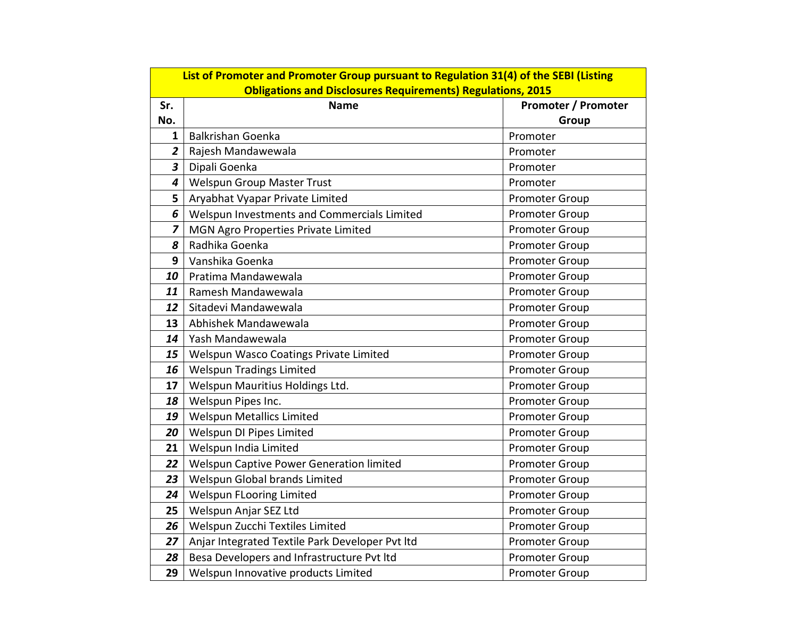|                         | List of Promoter and Promoter Group pursuant to Regulation 31(4) of the SEBI (Listing |                       |  |  |  |  |  |  |  |
|-------------------------|---------------------------------------------------------------------------------------|-----------------------|--|--|--|--|--|--|--|
|                         | <b>Obligations and Disclosures Requirements) Regulations, 2015</b>                    |                       |  |  |  |  |  |  |  |
| Sr.                     | <b>Name</b>                                                                           | Promoter / Promoter   |  |  |  |  |  |  |  |
| No.                     |                                                                                       | Group                 |  |  |  |  |  |  |  |
| $\mathbf{1}$            | <b>Balkrishan Goenka</b>                                                              | Promoter              |  |  |  |  |  |  |  |
| $\overline{2}$          | Rajesh Mandawewala                                                                    | Promoter              |  |  |  |  |  |  |  |
| $\overline{\mathbf{3}}$ | Dipali Goenka                                                                         | Promoter              |  |  |  |  |  |  |  |
| 4                       | Welspun Group Master Trust                                                            | Promoter              |  |  |  |  |  |  |  |
| 5                       | Aryabhat Vyapar Private Limited                                                       | <b>Promoter Group</b> |  |  |  |  |  |  |  |
| 6                       | Welspun Investments and Commercials Limited                                           | Promoter Group        |  |  |  |  |  |  |  |
| 7                       | MGN Agro Properties Private Limited                                                   | Promoter Group        |  |  |  |  |  |  |  |
| 8                       | Radhika Goenka                                                                        | Promoter Group        |  |  |  |  |  |  |  |
| 9                       | Vanshika Goenka                                                                       | <b>Promoter Group</b> |  |  |  |  |  |  |  |
| 10                      | Pratima Mandawewala                                                                   | <b>Promoter Group</b> |  |  |  |  |  |  |  |
| 11                      | Ramesh Mandawewala                                                                    | Promoter Group        |  |  |  |  |  |  |  |
| 12                      | Sitadevi Mandawewala                                                                  | Promoter Group        |  |  |  |  |  |  |  |
| 13                      | Abhishek Mandawewala                                                                  | Promoter Group        |  |  |  |  |  |  |  |
| 14                      | Yash Mandawewala                                                                      | Promoter Group        |  |  |  |  |  |  |  |
| 15                      | Welspun Wasco Coatings Private Limited                                                | <b>Promoter Group</b> |  |  |  |  |  |  |  |
| 16                      | <b>Welspun Tradings Limited</b>                                                       | <b>Promoter Group</b> |  |  |  |  |  |  |  |
| 17                      | Welspun Mauritius Holdings Ltd.                                                       | Promoter Group        |  |  |  |  |  |  |  |
| 18                      | Welspun Pipes Inc.                                                                    | Promoter Group        |  |  |  |  |  |  |  |
| 19                      | <b>Welspun Metallics Limited</b>                                                      | <b>Promoter Group</b> |  |  |  |  |  |  |  |
| 20                      | Welspun DI Pipes Limited                                                              | Promoter Group        |  |  |  |  |  |  |  |
| 21                      | Welspun India Limited                                                                 | Promoter Group        |  |  |  |  |  |  |  |
| 22                      | Welspun Captive Power Generation limited                                              | Promoter Group        |  |  |  |  |  |  |  |
| 23                      | Welspun Global brands Limited                                                         | Promoter Group        |  |  |  |  |  |  |  |
| 24                      | <b>Welspun FLooring Limited</b>                                                       | Promoter Group        |  |  |  |  |  |  |  |
| 25                      | Welspun Anjar SEZ Ltd                                                                 | Promoter Group        |  |  |  |  |  |  |  |
| 26                      | Welspun Zucchi Textiles Limited                                                       | <b>Promoter Group</b> |  |  |  |  |  |  |  |
| 27                      | Anjar Integrated Textile Park Developer Pvt Itd                                       | <b>Promoter Group</b> |  |  |  |  |  |  |  |
| 28                      | Besa Developers and Infrastructure Pvt Itd                                            | Promoter Group        |  |  |  |  |  |  |  |
| 29                      | Welspun Innovative products Limited                                                   | <b>Promoter Group</b> |  |  |  |  |  |  |  |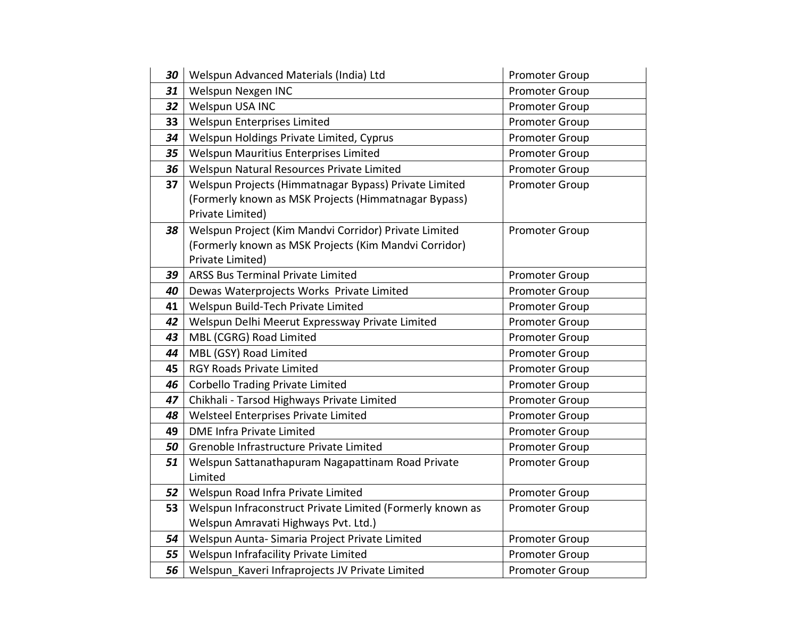| 30 | Welspun Advanced Materials (India) Ltd                                                                                             | Promoter Group        |
|----|------------------------------------------------------------------------------------------------------------------------------------|-----------------------|
| 31 | Welspun Nexgen INC                                                                                                                 | <b>Promoter Group</b> |
| 32 | Welspun USA INC                                                                                                                    | <b>Promoter Group</b> |
| 33 | Welspun Enterprises Limited                                                                                                        | <b>Promoter Group</b> |
| 34 | Welspun Holdings Private Limited, Cyprus                                                                                           | Promoter Group        |
| 35 | Welspun Mauritius Enterprises Limited                                                                                              | Promoter Group        |
| 36 | Welspun Natural Resources Private Limited                                                                                          | Promoter Group        |
| 37 | Welspun Projects (Himmatnagar Bypass) Private Limited<br>(Formerly known as MSK Projects (Himmatnagar Bypass)<br>Private Limited)  | <b>Promoter Group</b> |
| 38 | Welspun Project (Kim Mandvi Corridor) Private Limited<br>(Formerly known as MSK Projects (Kim Mandvi Corridor)<br>Private Limited) | <b>Promoter Group</b> |
| 39 | ARSS Bus Terminal Private Limited                                                                                                  | Promoter Group        |
| 40 | Dewas Waterprojects Works Private Limited                                                                                          | <b>Promoter Group</b> |
| 41 | Welspun Build-Tech Private Limited                                                                                                 | <b>Promoter Group</b> |
| 42 | Welspun Delhi Meerut Expressway Private Limited                                                                                    | Promoter Group        |
| 43 | MBL (CGRG) Road Limited                                                                                                            | <b>Promoter Group</b> |
| 44 | MBL (GSY) Road Limited                                                                                                             | Promoter Group        |
| 45 | <b>RGY Roads Private Limited</b>                                                                                                   | <b>Promoter Group</b> |
| 46 | <b>Corbello Trading Private Limited</b>                                                                                            | <b>Promoter Group</b> |
| 47 | Chikhali - Tarsod Highways Private Limited                                                                                         | <b>Promoter Group</b> |
| 48 | Welsteel Enterprises Private Limited                                                                                               | Promoter Group        |
| 49 | <b>DME Infra Private Limited</b>                                                                                                   | <b>Promoter Group</b> |
| 50 | Grenoble Infrastructure Private Limited                                                                                            | <b>Promoter Group</b> |
| 51 | Welspun Sattanathapuram Nagapattinam Road Private<br>Limited                                                                       | <b>Promoter Group</b> |
| 52 | Welspun Road Infra Private Limited                                                                                                 | Promoter Group        |
| 53 | Welspun Infraconstruct Private Limited (Formerly known as                                                                          | <b>Promoter Group</b> |
|    | Welspun Amravati Highways Pvt. Ltd.)                                                                                               |                       |
| 54 | Welspun Aunta-Simaria Project Private Limited                                                                                      | <b>Promoter Group</b> |
| 55 | Welspun Infrafacility Private Limited                                                                                              | <b>Promoter Group</b> |
| 56 | Welspun Kaveri Infraprojects JV Private Limited                                                                                    | <b>Promoter Group</b> |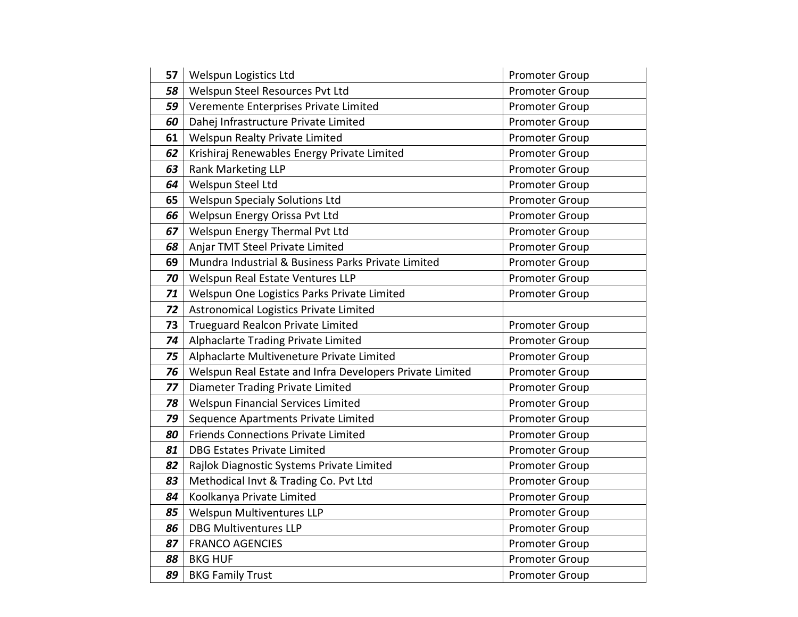| 57 | Welspun Logistics Ltd                                    | Promoter Group        |
|----|----------------------------------------------------------|-----------------------|
| 58 | Welspun Steel Resources Pvt Ltd                          | Promoter Group        |
| 59 | Veremente Enterprises Private Limited                    | Promoter Group        |
| 60 | Dahej Infrastructure Private Limited                     | <b>Promoter Group</b> |
| 61 | Welspun Realty Private Limited                           | Promoter Group        |
| 62 | Krishiraj Renewables Energy Private Limited              | Promoter Group        |
| 63 | <b>Rank Marketing LLP</b>                                | <b>Promoter Group</b> |
| 64 | Welspun Steel Ltd                                        | Promoter Group        |
| 65 | <b>Welspun Specialy Solutions Ltd</b>                    | Promoter Group        |
| 66 | Welpsun Energy Orissa Pvt Ltd                            | Promoter Group        |
| 67 | Welspun Energy Thermal Pvt Ltd                           | <b>Promoter Group</b> |
| 68 | Anjar TMT Steel Private Limited                          | Promoter Group        |
| 69 | Mundra Industrial & Business Parks Private Limited       | Promoter Group        |
| 70 | Welspun Real Estate Ventures LLP                         | <b>Promoter Group</b> |
| 71 | Welspun One Logistics Parks Private Limited              | Promoter Group        |
| 72 | Astronomical Logistics Private Limited                   |                       |
| 73 | Trueguard Realcon Private Limited                        | <b>Promoter Group</b> |
| 74 | Alphaclarte Trading Private Limited                      | Promoter Group        |
| 75 | Alphaclarte Multiveneture Private Limited                | <b>Promoter Group</b> |
| 76 | Welspun Real Estate and Infra Developers Private Limited | <b>Promoter Group</b> |
| 77 | Diameter Trading Private Limited                         | Promoter Group        |
| 78 | <b>Welspun Financial Services Limited</b>                | Promoter Group        |
| 79 | Sequence Apartments Private Limited                      | <b>Promoter Group</b> |
| 80 | <b>Friends Connections Private Limited</b>               | <b>Promoter Group</b> |
| 81 | <b>DBG Estates Private Limited</b>                       | Promoter Group        |
| 82 | Rajlok Diagnostic Systems Private Limited                | Promoter Group        |
| 83 | Methodical Invt & Trading Co. Pvt Ltd                    | Promoter Group        |
| 84 | Koolkanya Private Limited                                | Promoter Group        |
| 85 | Welspun Multiventures LLP                                | Promoter Group        |
| 86 | <b>DBG Multiventures LLP</b>                             | Promoter Group        |
| 87 | <b>FRANCO AGENCIES</b>                                   | Promoter Group        |
| 88 | <b>BKG HUF</b>                                           | Promoter Group        |
| 89 | <b>BKG Family Trust</b>                                  | Promoter Group        |